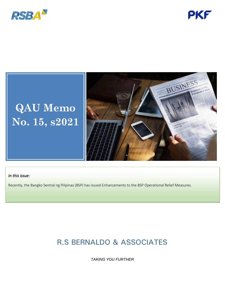



# **QAU Memo No. 15, s2021**



### *In this issue:*

Recently, the Bangko Sentral ng Pilipinas (BSP) has issued Enhancements to the BSP Operational Relief Measures.

## R.S BERNALDO & ASSOCIATES

*TAKING YOU FURTHER*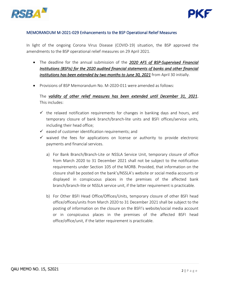



#### MEMORANDUM M-2021-029 Enhancements to the BSP Operational Relief Measures

In light of the ongoing Corona Virus Disease (COVID-19) situation, the BSP approved the amendments to the BSP operational relief measures on 29 April 2021.

- The deadline for the annual submission of the *2020 AFS of BSP-Supervised Financial Institutions (BSFIs) for the 2020 audited financial statements of banks and other financial institutions has been extended by two months to June 30, 2021* from April 30 initially.
- Provisions of BSP Memorandum No. M-2020-011 were amended as follows:

The *validity of other relief measures has been extended until December 31, 2021*. This includes:

- $\checkmark$  the relaxed notification requirements for changes in banking days and hours, and temporary closure of bank branch/branch-lite units and BSFI offices/service units, including their head office;
- $\checkmark$  eased of customer identification requirements; and
- $\checkmark$  waived the fees for applications on license or authority to provide electronic payments and financial services.
	- a) For Bank Branch/Branch-Lite or NSSLA Service Unit, temporary closure of office from March 2020 to 31 December 2021 shall not be subject to the notification requirements under Section 105 of the MORB. Provided, that information on the closure shall be posted on the bank's/NSSLA's website or social media accounts or displayed in conspicuous places in the premises of the affected bank branch/branch-lite or NSSLA service unit, if the latter requirement is practicable.
	- b) For Other BSFI Head Office/Offices/Units, temporary closure of other BSFI head office/offices/units from March 2020 to 31 December 2021 shall be subject to the posting of information on the closure on the BSFI's website/social media account or in conspicuous places in the premises of the affected BSFI head office/office/unit, if the latter requirement is practicable.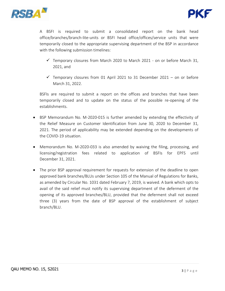



A BSFI is required to submit a consolidated report on the bank head office/branches/branch-lite-units or BSFI head office/offices/service units that were temporarily closed to the appropriate supervising department of the BSP in accordance with the following submission timelines:

- $\checkmark$  Temporary closures from March 2020 to March 2021 on or before March 31, 2021, and
- $\checkmark$  Temporary closures from 01 April 2021 to 31 December 2021 on or before March 31, 2022.

BSFIs are required to submit a report on the offices and branches that have been temporarily closed and to update on the status of the possible re-opening of the establishments.

- BSP Memorandum No. M-2020-015 is further amended by extending the effectivity of the Relief Measure on Customer Identification from June 30, 2020 to December 31, 2021. The period of applicability may be extended depending on the developments of the COVID-19 situation.
- Memorandum No. M-2020-033 is also amended by waiving the filing, processing, and licensing/registration fees related to application of BSFIs for EPFS until December 31, 2021.
- The prior BSP approval requirement for requests for extension of the deadline to open approved bank branches/BLUs under Section 105 of the Manual of Regulations for Banks, as amended by Circular No. 1031 dated February 7, 2019, is waived. A bank which opts to avail of the said relief must notify its supervising department of the deferment of the opening of its approved branches/BLU, provided that the deferment shall not exceed three (3) years from the date of BSP approval of the establishment of subject branch/BLU.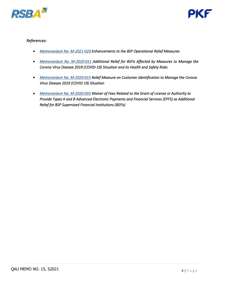



### *References:*

- *[Memorandum No. M-2021-029 Enhancements to the BSP Operational Relief Measures](https://www.bsp.gov.ph/Regulations/Issuances/2021/M-2021-029.pdf)*
- *[Memorandum No. M-2020-011 Additional Relief for BSFIs Affected by Measures to Manage the](https://www.bsp.gov.ph/Regulations/Issuances/2020/m011.pdf)  [Corona Virus Disease 2019 \(COVID-19\) Situation and its Health and Safety Risks](https://www.bsp.gov.ph/Regulations/Issuances/2020/m011.pdf)*
- *[Memorandum No. M-2020-015](https://drive.google.com/file/d/1uCKKi_g4W7vY2onRoE_LxfIdwlX4NR4X/view) Relief Measure on Customer Identification to Manage the Corona Virus Disease 2019 (COVID 19) Situation*
- *[Memorandum No. M-2020-033](https://www.bsp.gov.ph/Regulations/Issuances/2020/m033.pdf) Waiver of Fees Related to the Grant of License or Authority to Provide Types A and B Advanced Electronic Payments and Financial Services (EPFS) as Additional Relief for BSP Supervised Financial Institutions (BSFIs)*